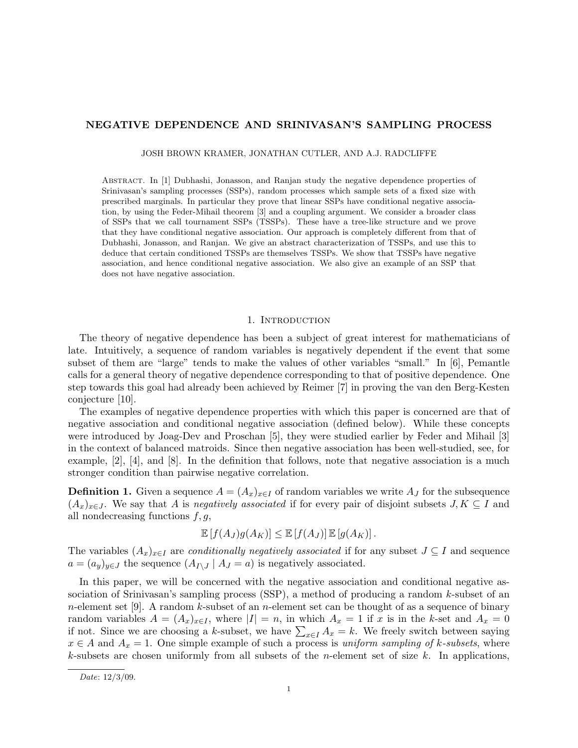# NEGATIVE DEPENDENCE AND SRINIVASAN'S SAMPLING PROCESS

JOSH BROWN KRAMER, JONATHAN CUTLER, AND A.J. RADCLIFFE

ABSTRACT. In [1] Dubhashi, Jonasson, and Ranjan study the negative dependence properties of Srinivasan's sampling processes (SSPs), random processes which sample sets of a fixed size with prescribed marginals. In particular they prove that linear SSPs have conditional negative association, by using the Feder-Mihail theorem [3] and a coupling argument. We consider a broader class of SSPs that we call tournament SSPs (TSSPs). These have a tree-like structure and we prove that they have conditional negative association. Our approach is completely different from that of Dubhashi, Jonasson, and Ranjan. We give an abstract characterization of TSSPs, and use this to deduce that certain conditioned TSSPs are themselves TSSPs. We show that TSSPs have negative association, and hence conditional negative association. We also give an example of an SSP that does not have negative association.

#### 1. INTRODUCTION

The theory of negative dependence has been a subject of great interest for mathematicians of late. Intuitively, a sequence of random variables is negatively dependent if the event that some subset of them are "large" tends to make the values of other variables "small." In [6], Pemantle calls for a general theory of negative dependence corresponding to that of positive dependence. One step towards this goal had already been achieved by Reimer [7] in proving the van den Berg-Kesten conjecture [10].

The examples of negative dependence properties with which this paper is concerned are that of negative association and conditional negative association (defined below). While these concepts were introduced by Joag-Dev and Proschan [5], they were studied earlier by Feder and Mihail [3] in the context of balanced matroids. Since then negative association has been well-studied, see, for example, [2], [4], and [8]. In the definition that follows, note that negative association is a much stronger condition than pairwise negative correlation.

**Definition 1.** Given a sequence  $A = (A_x)_{x \in I}$  of random variables we write  $A_J$  for the subsequence  $(A_x)_{x\in J}$ . We say that A is negatively associated if for every pair of disjoint subsets  $J, K \subseteq I$  and all nondecreasing functions  $f, g$ ,

$$
\mathbb{E}[f(A_J)g(A_K)] \leq \mathbb{E}[f(A_J)] \mathbb{E}[g(A_K)].
$$

The variables  $(A_x)_{x\in I}$  are *conditionally negatively associated* if for any subset  $J \subseteq I$  and sequence  $a = (a_y)_{y \in J}$  the sequence  $(A_{I \setminus J} | A_J = a)$  is negatively associated.

In this paper, we will be concerned with the negative association and conditional negative association of Srinivasan's sampling process (SSP), a method of producing a random  $k$ -subset of an n-element set [9]. A random k-subset of an n-element set can be thought of as a sequence of binary random variables  $A = (A_x)_{x \in I}$ , where  $|I| = n$ , in which  $A_x = 1$  if x is in the k-set and  $A_x = 0$ if not. Since we are choosing a k-subset, we have  $\sum_{x \in I} A_x = k$ . We freely switch between saying  $x \in A$  and  $A_x = 1$ . One simple example of such a process is uniform sampling of k-subsets, where k-subsets are chosen uniformly from all subsets of the *n*-element set of size k. In applications,

Date: 12/3/09.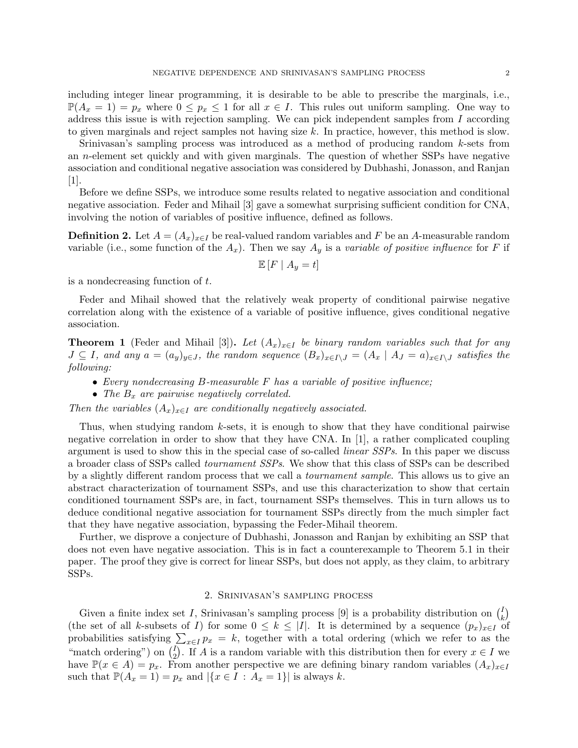including integer linear programming, it is desirable to be able to prescribe the marginals, i.e.,  $\mathbb{P}(A_x = 1) = p_x$  where  $0 \le p_x \le 1$  for all  $x \in I$ . This rules out uniform sampling. One way to address this issue is with rejection sampling. We can pick independent samples from I according to given marginals and reject samples not having size k. In practice, however, this method is slow.

Srinivasan's sampling process was introduced as a method of producing random k-sets from an n-element set quickly and with given marginals. The question of whether SSPs have negative association and conditional negative association was considered by Dubhashi, Jonasson, and Ranjan [1].

Before we define SSPs, we introduce some results related to negative association and conditional negative association. Feder and Mihail [3] gave a somewhat surprising sufficient condition for CNA, involving the notion of variables of positive influence, defined as follows.

**Definition 2.** Let  $A = (A_x)_{x \in I}$  be real-valued random variables and F be an A-measurable random variable (i.e., some function of the  $A_x$ ). Then we say  $A_y$  is a variable of positive influence for F if

$$
\mathbb{E}[F \mid A_y = t]
$$

is a nondecreasing function of t.

Feder and Mihail showed that the relatively weak property of conditional pairwise negative correlation along with the existence of a variable of positive influence, gives conditional negative association.

**Theorem 1** (Feder and Mihail [3]). Let  $(A_x)_{x\in I}$  be binary random variables such that for any  $J \subseteq I$ , and any  $a = (a_y)_{y \in J}$ , the random sequence  $(B_x)_{x \in I \setminus J} = (A_x \mid A_J = a)_{x \in I \setminus J}$  satisfies the following:

- Every nondecreasing  $B$ -measurable  $F$  has a variable of positive influence;
- The  $B_x$  are pairwise negatively correlated.

Then the variables  $(A_x)_{x\in I}$  are conditionally negatively associated.

Thus, when studying random  $k$ -sets, it is enough to show that they have conditional pairwise negative correlation in order to show that they have CNA. In [1], a rather complicated coupling argument is used to show this in the special case of so-called linear SSPs. In this paper we discuss a broader class of SSPs called tournament SSPs. We show that this class of SSPs can be described by a slightly different random process that we call a tournament sample. This allows us to give an abstract characterization of tournament SSPs, and use this characterization to show that certain conditioned tournament SSPs are, in fact, tournament SSPs themselves. This in turn allows us to deduce conditional negative association for tournament SSPs directly from the much simpler fact that they have negative association, bypassing the Feder-Mihail theorem.

Further, we disprove a conjecture of Dubhashi, Jonasson and Ranjan by exhibiting an SSP that does not even have negative association. This is in fact a counterexample to Theorem 5.1 in their paper. The proof they give is correct for linear SSPs, but does not apply, as they claim, to arbitrary SSPs.

#### 2. Srinivasan's sampling process

Given a finite index set I, Srinivasan's sampling process [9] is a probability distribution on  $\binom{l}{k}$  $\binom{l}{k}$ (the set of all k-subsets of I) for some  $0 \leq k \leq |I|$ . It is determined by a sequence  $(p_x)_{x \in I}$  of probabilities satisfying  $\sum_{x\in I} p_x = k$ , together with a total ordering (which we refer to as the "match ordering") on  $\binom{I}{2}$ <sup>1</sup>/<sub>2</sub>). If A is a random variable with this distribution then for every  $x \in I$  we have  $\mathbb{P}(x \in A) = p_x$ . From another perspective we are defining binary random variables  $(A_x)_{x \in I}$ such that  $\mathbb{P}(A_x = 1) = p_x$  and  $|\{x \in I : A_x = 1\}|$  is always k.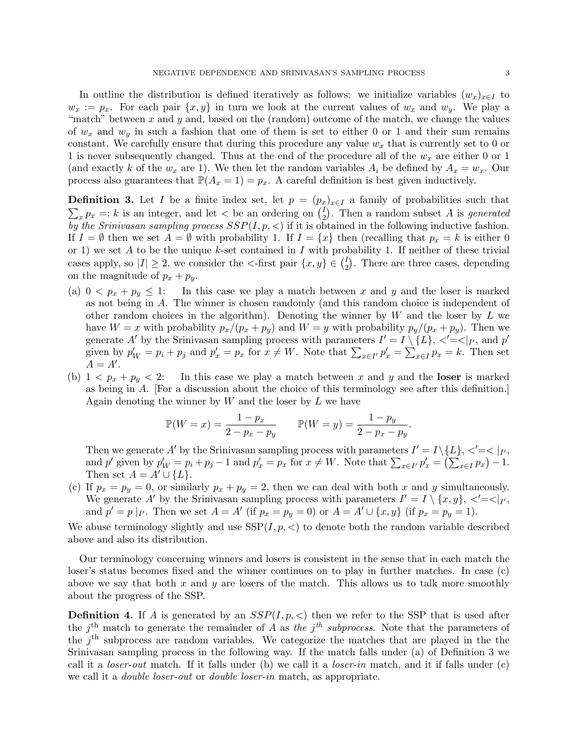In outline the distribution is defined iteratively as follows: we initialize variables  $(w_x)_{x\in I}$  to  $w_x := p_x$ . For each pair  $\{x, y\}$  in turn we look at the current values of  $w_x$  and  $w_y$ . We play a "match" between  $x$  and  $y$  and, based on the (random) outcome of the match, we change the values of  $w_x$  and  $w_y$  in such a fashion that one of them is set to either 0 or 1 and their sum remains constant. We carefully ensure that during this procedure any value  $w_x$  that is currently set to 0 or 1 is never subsequently changed. Thus at the end of the procedure all of the  $w_x$  are either 0 or 1 (and exactly k of the  $w_x$  are 1). We then let the random variables  $A_i$  be defined by  $A_x = w_x$ . Our process also guarantees that  $\mathbb{P}(A_x = 1) = p_x$ . A careful definition is best given inductively.

**Definition 3.** Let I be a finite index set, let  $p = (p_x)_{x \in I}$  a family of probabilities such that  $\sum_{x} p_x =: k$  is an integer, and let < be an ordering on  $\binom{l}{2}$  $\binom{I}{2}$ . Then a random subset A is generated by the Srinivasan sampling process  $SSP(I, p, \langle \rangle)$  if it is obtained in the following inductive fashion. If  $I = \emptyset$  then we set  $A = \emptyset$  with probability 1. If  $I = \{x\}$  then (recalling that  $p_x = k$  is either 0 or 1) we set A to be the unique k-set contained in I with probability 1. If neither of these trivial cases apply, so  $|I| \geq 2$ , we consider the <-first pair  $\{x, y\} \in {I_2 \choose 2}$  $2<sup>1</sup>$ ). There are three cases, depending on the magnitude of  $p_x + p_y$ .

- (a)  $0 < p_x + p_y \le 1$ : In this case we play a match between x and y and the loser is marked as not being in A. The winner is chosen randomly (and this random choice is independent of other random choices in the algorithm). Denoting the winner by  $W$  and the loser by  $L$  we have  $W = x$  with probability  $p_x/(p_x + p_y)$  and  $W = y$  with probability  $p_y/(p_x + p_y)$ . Then we generate A' by the Srinivasan sampling process with parameters  $I' = I \setminus \{L\}$ ,  $\langle -\angle |_{I'}$ , and  $p'$ given by  $p'_W = p_i + p_j$  and  $p'_x = p_x$  for  $x \neq W$ . Note that  $\sum_{x \in I'} p'_x = \sum_{x \in I} p_x = k$ . Then set  $A = A'$ .
- (b)  $1 < p_x + p_y < 2$ : In this case we play a match between x and y and the loser is marked as being in A. [For a discussion about the choice of this terminology see after this definition.] Again denoting the winner by  $W$  and the loser by  $L$  we have

$$
\mathbb{P}(W = x) = \frac{1 - p_x}{2 - p_x - p_y} \qquad \mathbb{P}(W = y) = \frac{1 - p_y}{2 - p_x - p_y}.
$$

Then we generate A' by the Srinivasan sampling process with parameters  $I' = I \setminus \{L\}, \langle -\rangle = \langle |I', \rangle$ and p' given by  $p'_W = p_i + p_j - 1$  and  $p'_x = p_x$  for  $x \neq W$ . Note that  $\sum_{x \in I'} p'_x = (\sum_{x \in I} p_x) - 1$ . Then set  $A = A' \cup \{L\}.$ 

(c) If  $p_x = p_y = 0$ , or similarly  $p_x + p_y = 2$ , then we can deal with both x and y simultaneously. We generate A' by the Srinivasan sampling process with parameters  $I' = I \setminus \{x, y\}$ ,  $\lt' = \lt' |I'$ , and  $p' = p |_{I'}$ . Then we set  $A = A'$  (if  $p_x = p_y = 0$ ) or  $A = A' \cup \{x, y\}$  (if  $p_x = p_y = 1$ ).

We abuse terminology slightly and use  $SSP(I, p, \langle)$  to denote both the random variable described above and also its distribution.

Our terminology concerning winners and losers is consistent in the sense that in each match the loser's status becomes fixed and the winner continues on to play in further matches. In case (c) above we say that both  $x$  and  $y$  are losers of the match. This allows us to talk more smoothly about the progress of the SSP.

**Definition 4.** If A is generated by an  $SSP(I, p, \leq)$  then we refer to the SSP that is used after the j<sup>th</sup> match to generate the remainder of A as the j<sup>th</sup> subprocess. Note that the parameters of the  $j<sup>th</sup>$  subprocess are random variables. We categorize the matches that are played in the the Srinivasan sampling process in the following way. If the match falls under (a) of Definition 3 we call it a loser-out match. If it falls under (b) we call it a loser-in match, and it if falls under (c) we call it a double loser-out or double loser-in match, as appropriate.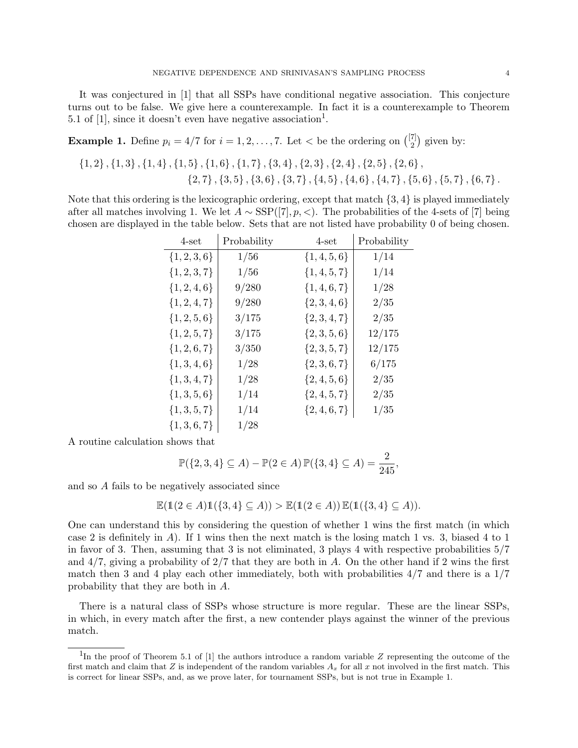It was conjectured in [1] that all SSPs have conditional negative association. This conjecture turns out to be false. We give here a counterexample. In fact it is a counterexample to Theorem 5.1 of [1], since it doesn't even have negative association<sup>1</sup>.

**Example 1.** Define  $p_i = 4/7$  for  $i = 1, 2, ..., 7$ . Let  $\lt$  be the ordering on  $\binom{[7]}{2}$  $2^{7}$ ) given by:

$$
{1,2}, {1,3}, {1,4}, {1,5}, {1,6}, {1,7}, {3,4}, {2,3}, {2,4}, {2,5}, {2,6},{2,7}, {3,5}, {3,6}, {3,7}, {4,5}, {4,6}, {4,7}, {5,6}, {5,7}, {6,7}.
$$

Note that this ordering is the lexicographic ordering, except that match  $\{3, 4\}$  is played immediately after all matches involving 1. We let  $A \sim \text{SSP}([7], p, \langle \cdot \rangle)$ . The probabilities of the 4-sets of [7] being chosen are displayed in the table below. Sets that are not listed have probability 0 of being chosen.

| 4-set            | Probability | 4-set         | Probability |
|------------------|-------------|---------------|-------------|
| $\{1, 2, 3, 6\}$ | 1/56        | $\{1,4,5,6\}$ | 1/14        |
| $\{1, 2, 3, 7\}$ | 1/56        | $\{1,4,5,7\}$ | 1/14        |
| $\{1, 2, 4, 6\}$ | 9/280       | $\{1,4,6,7\}$ | 1/28        |
| $\{1, 2, 4, 7\}$ | 9/280       | $\{2,3,4,6\}$ | 2/35        |
| $\{1, 2, 5, 6\}$ | 3/175       | $\{2,3,4,7\}$ | 2/35        |
| $\{1, 2, 5, 7\}$ | 3/175       | $\{2,3,5,6\}$ | 12/175      |
| $\{1, 2, 6, 7\}$ | 3/350       | $\{2,3,5,7\}$ | 12/175      |
| $\{1,3,4,6\}$    | 1/28        | $\{2,3,6,7\}$ | 6/175       |
| $\{1,3,4,7\}$    | 1/28        | $\{2,4,5,6\}$ | 2/35        |
| $\{1,3,5,6\}$    | 1/14        | $\{2,4,5,7\}$ | 2/35        |
| $\{1,3,5,7\}$    | 1/14        | $\{2,4,6,7\}$ | 1/35        |
| $\{1,3,6,7\}$    | 1/28        |               |             |

A routine calculation shows that

$$
\mathbb{P}(\{2,3,4\} \subseteq A) - \mathbb{P}(2 \in A) \mathbb{P}(\{3,4\} \subseteq A) = \frac{2}{245},
$$

and so A fails to be negatively associated since

$$
\mathbb{E}(\mathbb{1}(2 \in A)\mathbb{1}(\{3,4\} \subseteq A)) > \mathbb{E}(\mathbb{1}(2 \in A))\mathbb{E}(\mathbb{1}(\{3,4\} \subseteq A)).
$$

One can understand this by considering the question of whether 1 wins the first match (in which case 2 is definitely in A). If 1 wins then the next match is the losing match 1 vs. 3, biased 4 to 1 in favor of 3. Then, assuming that 3 is not eliminated, 3 plays 4 with respective probabilities 5/7 and  $4/7$ , giving a probability of  $2/7$  that they are both in A. On the other hand if 2 wins the first match then 3 and 4 play each other immediately, both with probabilities 4/7 and there is a 1/7 probability that they are both in A.

There is a natural class of SSPs whose structure is more regular. These are the linear SSPs, in which, in every match after the first, a new contender plays against the winner of the previous match.

<sup>&</sup>lt;sup>1</sup>In the proof of Theorem 5.1 of [1] the authors introduce a random variable  $Z$  representing the outcome of the first match and claim that Z is independent of the random variables  $A_x$  for all x not involved in the first match. This is correct for linear SSPs, and, as we prove later, for tournament SSPs, but is not true in Example 1.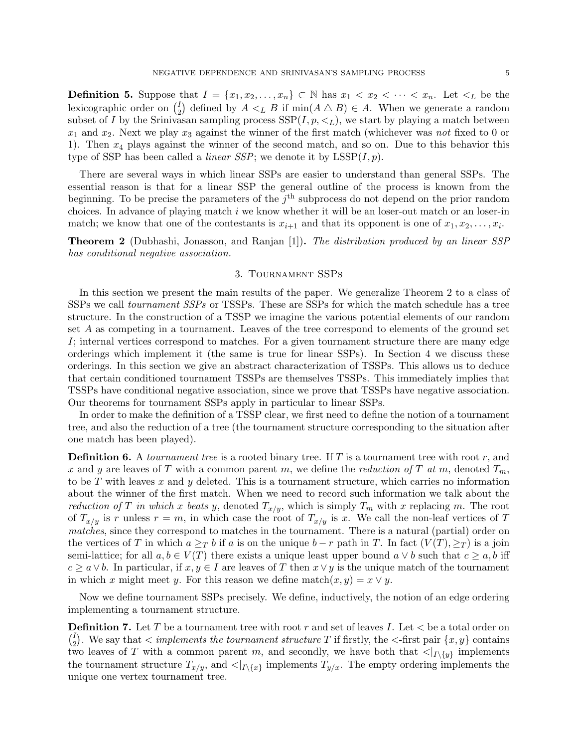**Definition 5.** Suppose that  $I = \{x_1, x_2, \ldots, x_n\} \subset \mathbb{N}$  has  $x_1 < x_2 < \cdots < x_n$ . Let  $\leq_L$  be the lexicographic order on  $\binom{I}{2}$  $\binom{1}{2}$  defined by  $A \leq_L B$  if  $\min(A \triangle B) \in A$ . When we generate a random subset of I by the Srinivasan sampling process  $SSP(I, p, \langle L \rangle)$ , we start by playing a match between  $x_1$  and  $x_2$ . Next we play  $x_3$  against the winner of the first match (whichever was not fixed to 0 or 1). Then  $x_4$  plays against the winner of the second match, and so on. Due to this behavior this type of SSP has been called a *linear SSP*; we denote it by  $LSSP(I, p)$ .

There are several ways in which linear SSPs are easier to understand than general SSPs. The essential reason is that for a linear SSP the general outline of the process is known from the beginning. To be precise the parameters of the  $j<sup>th</sup>$  subprocess do not depend on the prior random choices. In advance of playing match  $i$  we know whether it will be an loser-out match or an loser-in match; we know that one of the contestants is  $x_{i+1}$  and that its opponent is one of  $x_1, x_2, \ldots, x_i$ .

Theorem 2 (Dubhashi, Jonasson, and Ranjan [1]). The distribution produced by an linear SSP has conditional negative association.

# 3. Tournament SSPs

In this section we present the main results of the paper. We generalize Theorem 2 to a class of SSPs we call tournament SSPs or TSSPs. These are SSPs for which the match schedule has a tree structure. In the construction of a TSSP we imagine the various potential elements of our random set A as competing in a tournament. Leaves of the tree correspond to elements of the ground set I; internal vertices correspond to matches. For a given tournament structure there are many edge orderings which implement it (the same is true for linear SSPs). In Section 4 we discuss these orderings. In this section we give an abstract characterization of TSSPs. This allows us to deduce that certain conditioned tournament TSSPs are themselves TSSPs. This immediately implies that TSSPs have conditional negative association, since we prove that TSSPs have negative association. Our theorems for tournament SSPs apply in particular to linear SSPs.

In order to make the definition of a TSSP clear, we first need to define the notion of a tournament tree, and also the reduction of a tree (the tournament structure corresponding to the situation after one match has been played).

**Definition 6.** A *tournament tree* is a rooted binary tree. If T is a tournament tree with root  $r$ , and x and y are leaves of T with a common parent m, we define the reduction of T at m, denoted  $T_m$ , to be  $T$  with leaves  $x$  and  $y$  deleted. This is a tournament structure, which carries no information about the winner of the first match. When we need to record such information we talk about the reduction of T in which x beats y, denoted  $T_{x/y}$ , which is simply  $T_m$  with x replacing m. The root of  $T_{x/y}$  is r unless  $r = m$ , in which case the root of  $T_{x/y}$  is x. We call the non-leaf vertices of T matches, since they correspond to matches in the tournament. There is a natural (partial) order on the vertices of T in which  $a \geq_T b$  if a is on the unique  $b-r$  path in T. In fact  $(V(T), \geq_T)$  is a join semi-lattice; for all  $a, b \in V(T)$  there exists a unique least upper bound  $a \vee b$  such that  $c \geq a, b$  iff  $c \ge a \vee b$ . In particular, if  $x, y \in I$  are leaves of T then  $x \vee y$  is the unique match of the tournament in which x might meet y. For this reason we define match $(x, y) = x \vee y$ .

Now we define tournament SSPs precisely. We define, inductively, the notion of an edge ordering implementing a tournament structure.

**Definition 7.** Let T be a tournament tree with root r and set of leaves I. Let  $\lt$  be a total order on  $\binom{I}{2}$  $\binom{1}{2}$ . We say that  $\lt$  *implements the tournament structure T* if firstly, the  $\lt$ -first pair  $\{x, y\}$  contains two leaves of T with a common parent m, and secondly, we have both that  $\langle |I_{\setminus \{y\}}|$  implements the tournament structure  $T_{x/y}$ , and  $\langle |I\rangle_{x}$  implements  $T_{y/x}$ . The empty ordering implements the unique one vertex tournament tree.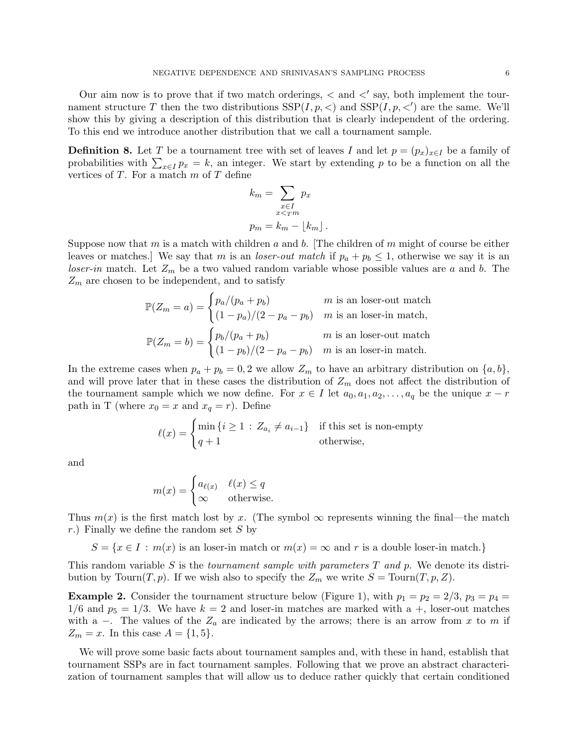Our aim now is to prove that if two match orderings,  $\langle$  and  $\langle$  say, both implement the tournament structure T then the two distributions  $SSP(I, p, \langle)$  and  $SSP(I, p, \langle')$  are the same. We'll show this by giving a description of this distribution that is clearly independent of the ordering. To this end we introduce another distribution that we call a tournament sample.

**Definition 8.** Let T be a tournament tree with set of leaves I and let  $p = (p_x)_{x \in I}$  be a family of probabilities with  $\sum_{x \in I} p_x = k$ , an integer. We start by extending p to be a function on all the vertices of  $T$ . For a match  $m$  of  $T$  define

$$
k_m = \sum_{\substack{x \in I \\ x < T^m}} p_x
$$
\n
$$
p_m = k_m - \lfloor k_m \rfloor.
$$

Suppose now that m is a match with children a and b. The children of m might of course be either leaves or matches.] We say that m is an *loser-out match* if  $p_a + p_b \le 1$ , otherwise we say it is an loser-in match. Let  $Z_m$  be a two valued random variable whose possible values are a and b. The  $Z_m$  are chosen to be independent, and to satisfy

$$
\mathbb{P}(Z_m = a) = \begin{cases} p_a/(p_a + p_b) & m \text{ is an loser-out match} \\ (1 - p_a)/(2 - p_a - p_b) & m \text{ is an loser-in match,} \end{cases}
$$

$$
\mathbb{P}(Z_m = b) = \begin{cases} p_b/(p_a + p_b) & m \text{ is an loser-out match} \\ (1 - p_b)/(2 - p_a - p_b) & m \text{ is an loser-in match.} \end{cases}
$$

In the extreme cases when  $p_a + p_b = 0, 2$  we allow  $Z_m$  to have an arbitrary distribution on  $\{a, b\}$ , and will prove later that in these cases the distribution of  $Z_m$  does not affect the distribution of the tournament sample which we now define. For  $x \in I$  let  $a_0, a_1, a_2, \ldots, a_q$  be the unique  $x - r$ path in T (where  $x_0 = x$  and  $x_q = r$ ). Define

$$
\ell(x) = \begin{cases} \min\left\{i \ge 1 \,:\, Z_{a_i} \neq a_{i-1}\right\} & \text{if this set is non-empty} \\ q+1 & \text{otherwise,} \end{cases}
$$

and

$$
m(x) = \begin{cases} a_{\ell(x)} & \ell(x) \le q \\ \infty & \text{otherwise.} \end{cases}
$$

Thus  $m(x)$  is the first match lost by x. (The symbol  $\infty$  represents winning the final—the match r.) Finally we define the random set  $S$  by

 $S = \{x \in I : m(x)$  is an loser-in match or  $m(x) = \infty$  and r is a double loser-in match.}

This random variable S is the *tournament sample with parameters T and p*. We denote its distribution by Tourn $(T, p)$ . If we wish also to specify the  $Z_m$  we write  $S = \text{Tourn}(T, p, Z)$ .

**Example 2.** Consider the tournament structure below (Figure 1), with  $p_1 = p_2 = 2/3$ ,  $p_3 = p_4 =$  $1/6$  and  $p_5 = 1/3$ . We have  $k = 2$  and loser-in matches are marked with a +, loser-out matches with a −. The values of the  $Z_a$  are indicated by the arrows; there is an arrow from x to m if  $Z_m = x$ . In this case  $A = \{1, 5\}.$ 

We will prove some basic facts about tournament samples and, with these in hand, establish that tournament SSPs are in fact tournament samples. Following that we prove an abstract characterization of tournament samples that will allow us to deduce rather quickly that certain conditioned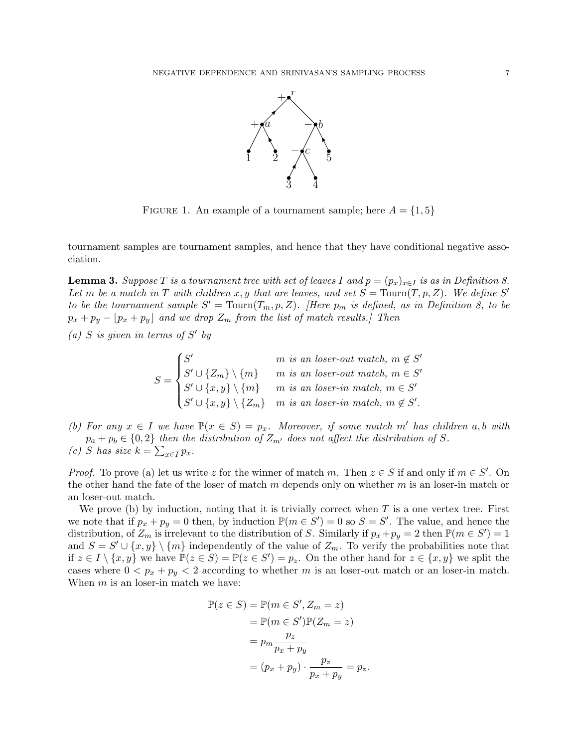

FIGURE 1. An example of a tournament sample; here  $A = \{1, 5\}$ 

tournament samples are tournament samples, and hence that they have conditional negative association.

**Lemma 3.** Suppose T is a tournament tree with set of leaves I and  $p = (p_x)_{x \in I}$  is as in Definition 8. Let m be a match in T with children x, y that are leaves, and set  $S = \text{Tourn}(T, p, Z)$ . We define S' to be the tournament sample  $S' = \text{Tourn}(T_m, p, Z)$ . [Here  $p_m$  is defined, as in Definition 8, to be  $p_x + p_y - p_x + p_y$  and we drop  $Z_m$  from the list of match results.] Then

(a) S is given in terms of  $S'$  by

$$
S = \begin{cases} S' & m \text{ is an loser-out match, } m \notin S' \\ S' \cup \{Z_m\} \setminus \{m\} & m \text{ is an loser-out match, } m \in S' \\ S' \cup \{x, y\} \setminus \{m\} & m \text{ is an loser-in match, } m \in S' \\ S' \cup \{x, y\} \setminus \{Z_m\} & m \text{ is an loser-in match, } m \notin S'. \end{cases}
$$

- (b) For any  $x \in I$  we have  $\mathbb{P}(x \in S) = p_x$ . Moreover, if some match m' has children a, b with  $p_a + p_b \in \{0, 2\}$  then the distribution of  $Z_{m'}$  does not affect the distribution of S.
- (c) S has size  $k = \sum_{x \in I} p_x$ .

*Proof.* To prove (a) let us write z for the winner of match m. Then  $z \in S$  if and only if  $m \in S'$ . On the other hand the fate of the loser of match m depends only on whether  $m$  is an loser-in match or an loser-out match.

We prove (b) by induction, noting that it is trivially correct when  $T$  is a one vertex tree. First we note that if  $p_x + p_y = 0$  then, by induction  $\mathbb{P}(m \in S') = 0$  so  $S = S'$ . The value, and hence the distribution, of  $Z_m$  is irrelevant to the distribution of S. Similarly if  $p_x + p_y = 2$  then  $\mathbb{P}(m \in S') = 1$ and  $S = S' \cup \{x, y\} \setminus \{m\}$  independently of the value of  $Z_m$ . To verify the probabilities note that if  $z \in I \setminus \{x, y\}$  we have  $\mathbb{P}(z \in S) = \mathbb{P}(z \in S') = p_z$ . On the other hand for  $z \in \{x, y\}$  we split the cases where  $0 < p_x + p_y < 2$  according to whether m is an loser-out match or an loser-in match. When  $m$  is an loser-in match we have:

$$
\mathbb{P}(z \in S) = \mathbb{P}(m \in S', Z_m = z)
$$
  
=  $\mathbb{P}(m \in S')\mathbb{P}(Z_m = z)$   
=  $p_m \frac{p_z}{p_x + p_y}$   
=  $(p_x + p_y) \cdot \frac{p_z}{p_x + p_y} = p_z.$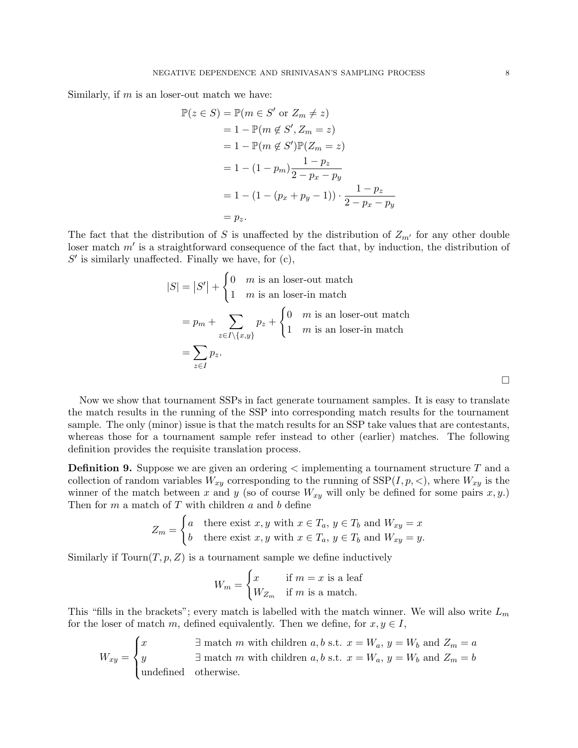Similarly, if  $m$  is an loser-out match we have:

$$
\mathbb{P}(z \in S) = \mathbb{P}(m \in S' \text{ or } Z_m \neq z)
$$
  
= 1 - \mathbb{P}(m \notin S', Z\_m = z)  
= 1 - \mathbb{P}(m \notin S')\mathbb{P}(Z\_m = z)  
= 1 - (1 - p\_m)\frac{1 - p\_z}{2 - p\_x - p\_y}  
= 1 - (1 - (p\_x + p\_y - 1)) \cdot \frac{1 - p\_z}{2 - p\_x - p\_y}  
= p\_z.

The fact that the distribution of S is unaffected by the distribution of  $Z_{m'}$  for any other double loser match  $m'$  is a straightforward consequence of the fact that, by induction, the distribution of  $S'$  is similarly unaffected. Finally we have, for  $(c)$ ,

$$
|S| = |S'| + \begin{cases} 0 & m \text{ is an loser-out match} \\ 1 & m \text{ is an loser-in match} \end{cases}
$$
  
=  $p_m + \sum_{z \in I \setminus \{x, y\}} p_z + \begin{cases} 0 & m \text{ is an loser-out match} \\ 1 & m \text{ is an loser-in match} \end{cases}$   
=  $\sum_{z \in I} p_z$ .

Now we show that tournament SSPs in fact generate tournament samples. It is easy to translate the match results in the running of the SSP into corresponding match results for the tournament sample. The only (minor) issue is that the match results for an SSP take values that are contestants, whereas those for a tournament sample refer instead to other (earlier) matches. The following definition provides the requisite translation process.

**Definition 9.** Suppose we are given an ordering  $\lt$  implementing a tournament structure T and a collection of random variables  $W_{xy}$  corresponding to the running of  $SSP(I, p, <)$ , where  $W_{xy}$  is the winner of the match between x and y (so of course  $W_{xy}$  will only be defined for some pairs  $x, y$ .) Then for  $m$  a match of  $T$  with children  $a$  and  $b$  define

$$
Z_m = \begin{cases} a & \text{there exist } x, y \text{ with } x \in T_a, y \in T_b \text{ and } W_{xy} = x \\ b & \text{there exist } x, y \text{ with } x \in T_a, y \in T_b \text{ and } W_{xy} = y. \end{cases}
$$

Similarly if  $T_{\text{turn}}(T, p, Z)$  is a tournament sample we define inductively

$$
W_m = \begin{cases} x & \text{if } m = x \text{ is a leaf} \\ W_{Z_m} & \text{if } m \text{ is a match.} \end{cases}
$$

This "fills in the brackets"; every match is labelled with the match winner. We will also write  $L_m$ for the loser of match m, defined equivalently. Then we define, for  $x, y \in I$ ,

$$
W_{xy} = \begin{cases} x & \exists \text{ match } m \text{ with children } a, b \text{ s.t. } x = W_a, y = W_b \text{ and } Z_m = a \\ y & \exists \text{ match } m \text{ with children } a, b \text{ s.t. } x = W_a, y = W_b \text{ and } Z_m = b \\ \text{undefined} & \text{otherwise.} \end{cases}
$$

 $\Box$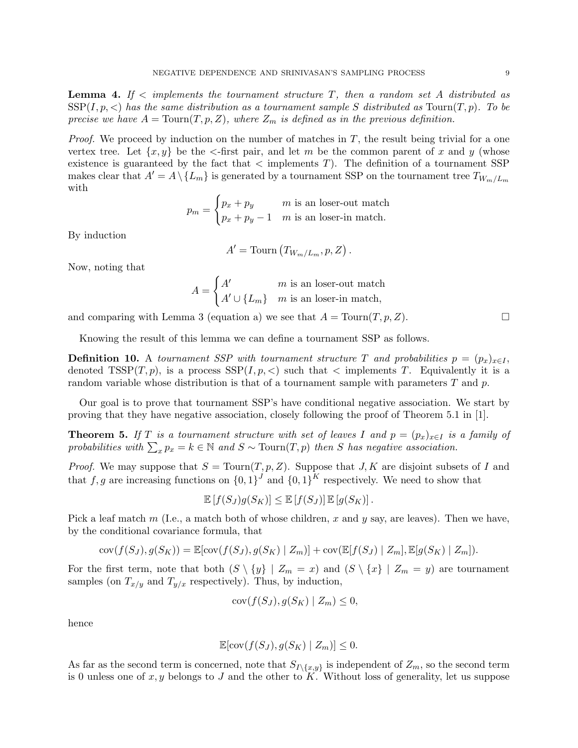**Lemma 4.** If  $\leq$  implements the tournament structure T, then a random set A distributed as  $SSP(I, p, \langle \rangle)$  has the same distribution as a tournament sample S distributed as Tourn $(T, p)$ . To be precise we have  $A = \text{Tourn}(T, p, Z)$ , where  $Z_m$  is defined as in the previous definition.

*Proof.* We proceed by induction on the number of matches in  $T$ , the result being trivial for a one vertex tree. Let  $\{x, y\}$  be the  $\leq$ -first pair, and let m be the common parent of x and y (whose existence is guaranteed by the fact that  $\lt$  implements  $T$ ). The definition of a tournament SSP makes clear that  $A' = A \setminus \{L_m\}$  is generated by a tournament SSP on the tournament tree  $T_{W_m/L_m}$ with

$$
p_m = \begin{cases} p_x + p_y & m \text{ is an loser-out match} \\ p_x + p_y - 1 & m \text{ is an loser-in match.} \end{cases}
$$

By induction

$$
A' = \mathrm{Tourn}\left(T_{W_m/L_m}, p, Z\right).
$$

Now, noting that

$$
A = \begin{cases} A' & m \text{ is an loser-out match} \\ A' \cup \{L_m\} & m \text{ is an loser-in match,} \end{cases}
$$

and comparing with Lemma 3 (equation a) we see that  $A = \text{Tourn}(T, p, Z)$ .

Knowing the result of this lemma we can define a tournament SSP as follows.

**Definition 10.** A tournament SSP with tournament structure T and probabilities  $p = (p_x)_{x \in I}$ , denoted  $TSSP(T, p)$ , is a process  $SSP(I, p, \langle)$  such that  $\langle$  implements T. Equivalently it is a random variable whose distribution is that of a tournament sample with parameters  $T$  and  $p$ .

Our goal is to prove that tournament SSP's have conditional negative association. We start by proving that they have negative association, closely following the proof of Theorem 5.1 in [1].

**Theorem 5.** If T is a tournament structure with set of leaves I and  $p = (p_x)_{x \in I}$  is a family of probabilities with  $\sum_x p_x = k \in \mathbb{N}$  and  $S \sim \text{Tourn}(T, p)$  then S has negative association.

*Proof.* We may suppose that  $S = \text{Tourn}(T, p, Z)$ . Suppose that J, K are disjoint subsets of I and that f, g are increasing functions on  $\{0,1\}^J$  and  $\{0,1\}^K$  respectively. We need to show that

 $\mathbb{E}[f(S_J)q(S_K)] \leq \mathbb{E}[f(S_J)] \mathbb{E}[q(S_K)].$ 

Pick a leaf match  $m$  (I.e., a match both of whose children, x and y say, are leaves). Then we have, by the conditional covariance formula, that

$$
cov(f(S_J), g(S_K)) = \mathbb{E}[cov(f(S_J), g(S_K) | Z_m)] + cov(\mathbb{E}[f(S_J) | Z_m], \mathbb{E}[g(S_K) | Z_m]).
$$

For the first term, note that both  $(S \setminus \{y\} | Z_m = x)$  and  $(S \setminus \{x\} | Z_m = y)$  are tournament samples (on  $T_{x/y}$  and  $T_{y/x}$  respectively). Thus, by induction,

$$
cov(f(S_J), g(S_K) | Z_m) \leq 0,
$$

hence

$$
\mathbb{E}[\text{cov}(f(S_J), g(S_K) | Z_m)] \leq 0.
$$

As far as the second term is concerned, note that  $S_{I\setminus\{x,y\}}$  is independent of  $Z_m$ , so the second term is 0 unless one of  $x, y$  belongs to J and the other to K. Without loss of generality, let us suppose

$$
\qquad \qquad \Box
$$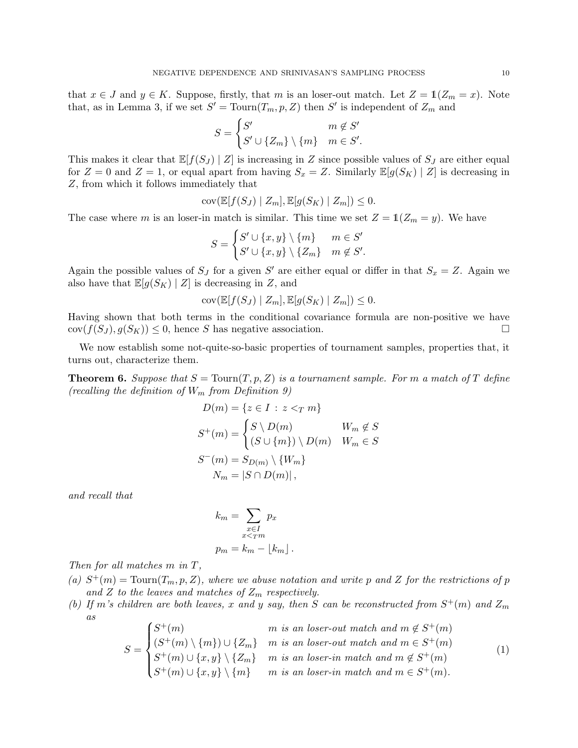that  $x \in J$  and  $y \in K$ . Suppose, firstly, that m is an loser-out match. Let  $Z = 1\mathbb{1}(Z_m = x)$ . Note that, as in Lemma 3, if we set  $S' = \text{Tourn}(T_m, p, Z)$  then S' is independent of  $Z_m$  and

$$
S = \begin{cases} S' & m \notin S' \\ S' \cup \{Z_m\} \setminus \{m\} & m \in S'. \end{cases}
$$

This makes it clear that  $\mathbb{E}[f(S_J) | Z]$  is increasing in Z since possible values of  $S_J$  are either equal for  $Z = 0$  and  $Z = 1$ , or equal apart from having  $S_x = Z$ . Similarly  $\mathbb{E}[g(S_K) | Z]$  is decreasing in Z, from which it follows immediately that

$$
cov(\mathbb{E}[f(S_J) | Z_m], \mathbb{E}[g(S_K) | Z_m]) \leq 0.
$$

The case where m is an loser-in match is similar. This time we set  $Z = 1(Z_m = y)$ . We have

$$
S = \begin{cases} S' \cup \{x, y\} \setminus \{m\} & m \in S' \\ S' \cup \{x, y\} \setminus \{Z_m\} & m \notin S'. \end{cases}
$$

Again the possible values of  $S_J$  for a given S' are either equal or differ in that  $S_x = Z$ . Again we also have that  $\mathbb{E}[g(S_K) | Z]$  is decreasing in Z, and

$$
cov(\mathbb{E}[f(S_J) | Z_m], \mathbb{E}[g(S_K) | Z_m]) \leq 0.
$$

Having shown that both terms in the conditional covariance formula are non-positive we have  $cov(f(S_J), g(S_K)) \leq 0$ , hence S has negative association.

We now establish some not-quite-so-basic properties of tournament samples, properties that, it turns out, characterize them.

**Theorem 6.** Suppose that  $S = \text{Tourn}(T, p, Z)$  is a tournament sample. For m a match of T define (recalling the definition of  $W_m$  from Definition 9)

$$
D(m) = \{z \in I : z <_T m\}
$$
  
\n
$$
S^+(m) = \begin{cases} S \setminus D(m) & W_m \notin S \\ (S \cup \{m\}) \setminus D(m) & W_m \in S \end{cases}
$$
  
\n
$$
S^-(m) = S_{D(m)} \setminus \{W_m\}
$$
  
\n
$$
N_m = |S \cap D(m)|,
$$

and recall that

$$
k_m = \sum_{\substack{x \in I \\ x < \tau m}} p_x
$$

$$
p_m = k_m - \lfloor k_m \rfloor.
$$

Then for all matches m in T,

- (a)  $S^+(m) = \text{Tourn}(T_m, p, Z)$ , where we abuse notation and write p and Z for the restrictions of p and Z to the leaves and matches of  $Z_m$  respectively.
- (b) If m's children are both leaves, x and y say, then S can be reconstructed from  $S^+(m)$  and  $Z_m$ as

$$
S = \begin{cases} S^+(m) & m \text{ is an loser-out match and } m \notin S^+(m) \\ (S^+(m) \setminus \{m\}) \cup \{Z_m\} & m \text{ is an loser-out match and } m \in S^+(m) \\ S^+(m) \cup \{x, y\} \setminus \{Z_m\} & m \text{ is an loser-in match and } m \notin S^+(m) \\ S^+(m) \cup \{x, y\} \setminus \{m\} & m \text{ is an loser-in match and } m \in S^+(m). \end{cases} \tag{1}
$$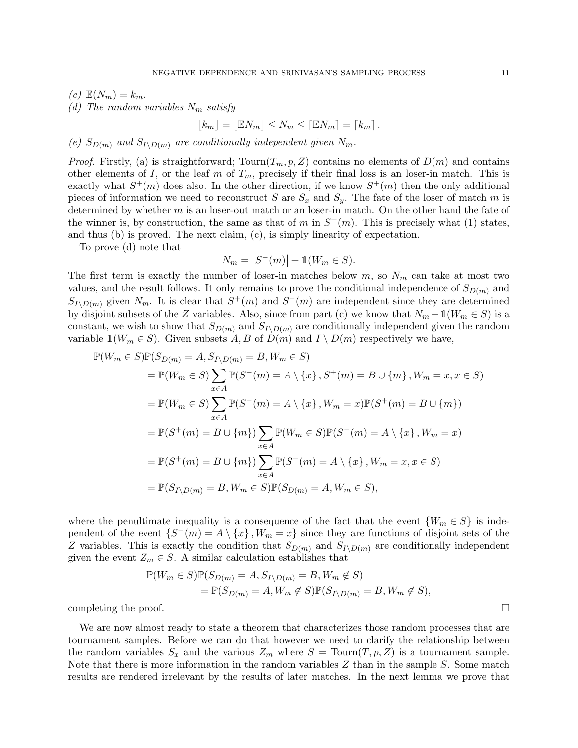$(c) \mathbb{E}(N_m) = k_m.$ 

(d) The random variables  $N_m$  satisfy

 $|k_m| = |\mathbb{E} N_m| \le N_m \le [\mathbb{E} N_m] = [k_m]$ .

(e)  $S_{D(m)}$  and  $S_{I\setminus D(m)}$  are conditionally independent given  $N_m$ .

*Proof.* Firstly, (a) is straightforward;  $T_{m}$ ,  $p$ ,  $Z$ ) contains no elements of  $D(m)$  and contains other elements of I, or the leaf m of  $T_m$ , precisely if their final loss is an loser-in match. This is exactly what  $S^+(m)$  does also. In the other direction, if we know  $S^+(m)$  then the only additional pieces of information we need to reconstruct S are  $S_x$  and  $S_y$ . The fate of the loser of match m is determined by whether  $m$  is an loser-out match or an loser-in match. On the other hand the fate of the winner is, by construction, the same as that of m in  $S^+(m)$ . This is precisely what (1) states, and thus (b) is proved. The next claim, (c), is simply linearity of expectation.

To prove (d) note that

$$
N_m = |S^-(m)| + \mathbb{1}(W_m \in S).
$$

The first term is exactly the number of loser-in matches below  $m$ , so  $N_m$  can take at most two values, and the result follows. It only remains to prove the conditional independence of  $S_{D(m)}$  and  $S_{I\setminus D(m)}$  given  $N_m$ . It is clear that  $S^+(m)$  and  $S^-(m)$  are independent since they are determined by disjoint subsets of the Z variables. Also, since from part (c) we know that  $N_m - 1(W_m \in S)$  is a constant, we wish to show that  $S_{D(m)}$  and  $S_{I\setminus D(m)}$  are conditionally independent given the random variable  $\mathbb{1}(W_m \in S)$ . Given subsets A, B of  $D(m)$  and  $I \setminus D(m)$  respectively we have,

$$
\mathbb{P}(W_m \in S) \mathbb{P}(S_{D(m)} = A, S_{I \setminus D(m)} = B, W_m \in S)
$$
  
=  $\mathbb{P}(W_m \in S) \sum_{x \in A} \mathbb{P}(S^-(m) = A \setminus \{x\}, S^+(m) = B \cup \{m\}, W_m = x, x \in S)$   
=  $\mathbb{P}(W_m \in S) \sum_{x \in A} \mathbb{P}(S^-(m) = A \setminus \{x\}, W_m = x) \mathbb{P}(S^+(m) = B \cup \{m\})$   
=  $\mathbb{P}(S^+(m) = B \cup \{m\}) \sum_{x \in A} \mathbb{P}(W_m \in S) \mathbb{P}(S^-(m) = A \setminus \{x\}, W_m = x)$   
=  $\mathbb{P}(S^+(m) = B \cup \{m\}) \sum_{x \in A} \mathbb{P}(S^-(m) = A \setminus \{x\}, W_m = x, x \in S)$   
=  $\mathbb{P}(S_{I \setminus D(m)} = B, W_m \in S) \mathbb{P}(S_{D(m)} = A, W_m \in S),$ 

where the penultimate inequality is a consequence of the fact that the event  $\{W_m \in S\}$  is independent of the event  $\{S^-(m) = A \setminus \{x\}, W_m = x\}$  since they are functions of disjoint sets of the Z variables. This is exactly the condition that  $S_{D(m)}$  and  $S_{I\setminus D(m)}$  are conditionally independent given the event  $Z_m \in S$ . A similar calculation establishes that

$$
\mathbb{P}(W_m \in S) \mathbb{P}(S_{D(m)} = A, S_{I \setminus D(m)} = B, W_m \notin S)
$$
  
= 
$$
\mathbb{P}(S_{D(m)} = A, W_m \notin S) \mathbb{P}(S_{I \setminus D(m)} = B, W_m \notin S),
$$

completing the proof.  $\Box$ 

We are now almost ready to state a theorem that characterizes those random processes that are tournament samples. Before we can do that however we need to clarify the relationship between the random variables  $S_x$  and the various  $Z_m$  where  $S = \text{Tourn}(T, p, Z)$  is a tournament sample. Note that there is more information in the random variables  $Z$  than in the sample  $S$ . Some match results are rendered irrelevant by the results of later matches. In the next lemma we prove that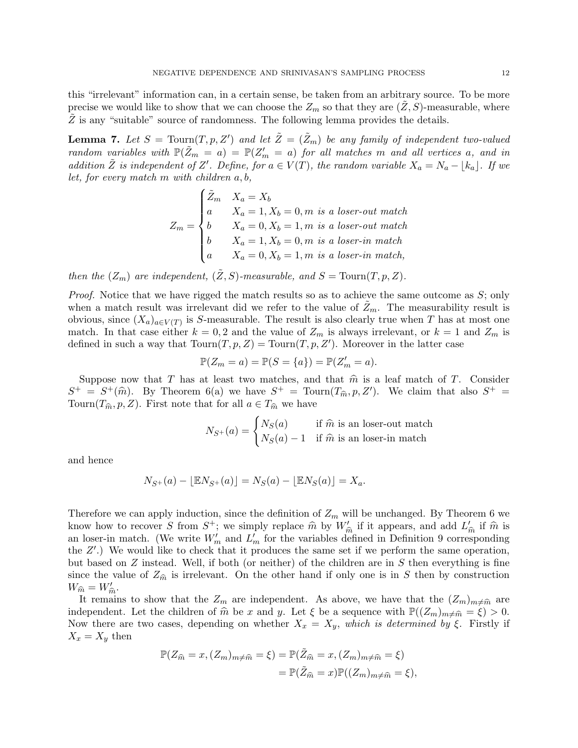this "irrelevant" information can, in a certain sense, be taken from an arbitrary source. To be more precise we would like to show that we can choose the  $Z_m$  so that they are  $(Z, S)$ -measurable, where  $Z$  is any "suitable" source of randomness. The following lemma provides the details.

**Lemma 7.** Let  $S = \text{Tourn}(T, p, Z')$  and let  $\tilde{Z} = (\tilde{Z}_m)$  be any family of independent two-valued random variables with  $\mathbb{P}(\tilde{Z}_m = a) = \mathbb{P}(Z_m' = a)$  for all matches m and all vertices a, and in addition  $\tilde{Z}$  is independent of Z'. Define, for  $a \in V(T)$ , the random variable  $X_a = N_a - \lfloor k_a \rfloor$ . If we let, for every match m with children a, b,

> $Z_m =$  $\sqrt{ }$  $\int$  $\overline{\mathcal{L}}$  $\tilde{Z}_m$   $X_a = X_b$  $a \qquad X_a = 1, X_b = 0, m \text{ is a } laser-out \text{ match}$ b  $X_a = 0, X_b = 1, m$  is a loser-out match b  $X_a = 1, X_b = 0, m$  is a loser-in match  $a \t X_a = 0, X_b = 1, m \text{ is a } laser\text{-}in \text{ }match,$

then the  $(Z_m)$  are independent,  $(\tilde{Z}, S)$ -measurable, and  $S = \text{Tourn}(T, p, Z)$ .

Proof. Notice that we have rigged the match results so as to achieve the same outcome as S; only when a match result was irrelevant did we refer to the value of  $Z_m$ . The measurability result is obvious, since  $(X_a)_{a \in V(T)}$  is S-measurable. The result is also clearly true when T has at most one match. In that case either  $k = 0, 2$  and the value of  $Z_m$  is always irrelevant, or  $k = 1$  and  $Z_m$  is defined in such a way that  $T_{\text{ourn}}(T, p, Z) = T_{\text{ourn}}(T, p, Z')$ . Moreover in the latter case

$$
\mathbb{P}(Z_m = a) = \mathbb{P}(S = \{a\}) = \mathbb{P}(Z'_m = a).
$$

Suppose now that T has at least two matches, and that  $\hat{m}$  is a leaf match of T. Consider  $S^+ = S^+(\hat{m})$ . By Theorem 6(a) we have  $S^+ = \text{Tour}(T_{\hat{m}}, p, Z')$ . We claim that also  $S^+ = \text{Tour}(T_{\hat{m}}, p, Z')$ . First note that for all  $g \in T_{\hat{m}}$  we have Tourn $(T_{\hat{m}}, p, Z)$ . First note that for all  $a \in T_{\hat{m}}$  we have

$$
N_{S^{+}}(a) = \begin{cases} N_{S}(a) & \text{if } \hat{m} \text{ is an loser-out match} \\ N_{S}(a) - 1 & \text{if } \hat{m} \text{ is an loser-in match} \end{cases}
$$

and hence

$$
N_{S^{+}}(a) - \lfloor \mathbb{E} N_{S^{+}}(a) \rfloor = N_{S}(a) - \lfloor \mathbb{E} N_{S}(a) \rfloor = X_a.
$$

Therefore we can apply induction, since the definition of  $Z_m$  will be unchanged. By Theorem 6 we know how to recover S from  $S^+$ ; we simply replace  $\hat{m}$  by  $W'_{\hat{m}}$  if it appears, and add  $L'_{\hat{m}}$  if  $\hat{m}$  is an loser-in match. (We write  $W'_m$  and  $L'_m$  for the variables defined in Definition 9 corresponding an loser-in match. the  $Z'$ .) We would like to check that it produces the same set if we perform the same operation, but based on  $Z$  instead. Well, if both (or neither) of the children are in  $S$  then everything is fine since the value of  $Z_{\hat{m}}$  is irrelevant. On the other hand if only one is in S then by construction  $W_{\widehat{m}} = W'_{\widehat{m}}.$ 

It remains to show that the  $Z_m$  are independent. As above, we have that the  $(Z_m)_{m \neq \hat{m}}$  are<br>dependent. Let the children of  $\hat{\mathfrak{m}}$  be a and u. Let f he a sequence with  $\mathbb{P}((Z_m)_{m \neq \hat{m}}) > 0$ independent. Let the children of  $\hat{m}$  be x and y. Let  $\xi$  be a sequence with  $\mathbb{P}((Z_m)_{m\neq \hat{m}} = \xi) > 0$ . Now there are two cases, depending on whether  $X_x = X_y$ , which is determined by  $\xi$ . Firstly if  $X_x = X_y$  then

$$
\mathbb{P}(Z_{\widehat{m}} = x, (Z_m)_{m \neq \widehat{m}} = \xi) = \mathbb{P}(\tilde{Z}_{\widehat{m}} = x, (Z_m)_{m \neq \widehat{m}} = \xi)
$$
  
= 
$$
\mathbb{P}(\tilde{Z}_{\widehat{m}} = x)\mathbb{P}((Z_m)_{m \neq \widehat{m}} = \xi),
$$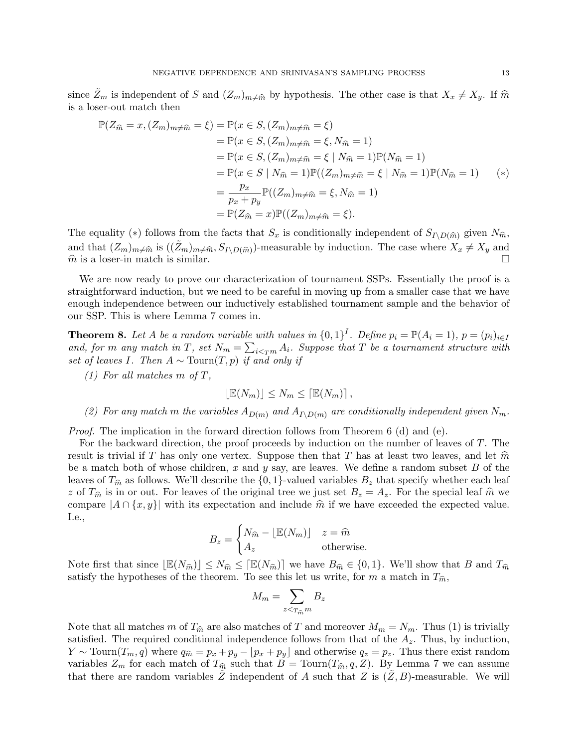since  $Z_m$  is independent of S and  $(Z_m)_{m\neq \hat{m}}$  by hypothesis. The other case is that  $X_x \neq X_y$ . If  $\hat{m}$ is a loser-out match then

$$
\mathbb{P}(Z_{\widehat{m}} = x, (Z_m)_{m \neq \widehat{m}} = \xi) = \mathbb{P}(x \in S, (Z_m)_{m \neq \widehat{m}} = \xi)
$$
  
\n
$$
= \mathbb{P}(x \in S, (Z_m)_{m \neq \widehat{m}} = \xi, N_{\widehat{m}} = 1)
$$
  
\n
$$
= \mathbb{P}(x \in S, (Z_m)_{m \neq \widehat{m}} = \xi \mid N_{\widehat{m}} = 1)\mathbb{P}(N_{\widehat{m}} = 1)
$$
  
\n
$$
= \mathbb{P}(x \in S \mid N_{\widehat{m}} = 1)\mathbb{P}((Z_m)_{m \neq \widehat{m}} = \xi \mid N_{\widehat{m}} = 1)\mathbb{P}(N_{\widehat{m}} = 1) \qquad (*)
$$
  
\n
$$
= \frac{p_x}{p_x + p_y} \mathbb{P}((Z_m)_{m \neq \widehat{m}} = \xi, N_{\widehat{m}} = 1)
$$
  
\n
$$
= \mathbb{P}(Z_{\widehat{m}} = x)\mathbb{P}((Z_m)_{m \neq \widehat{m}} = \xi).
$$

The equality (\*) follows from the facts that  $S_x$  is conditionally independent of  $S_{I\setminus D(\widehat{m})}$  given  $N_{\widehat{m}}$ , and that  $(Z_m)_{m \neq \widehat{m}}$  is  $((\tilde{Z}_m)_{m \neq \widehat{m}}, S_{I\setminus D(\widehat{m})})$ -measurable by induction. The case where  $X_x \neq X_y$  and  $\hat{m}$  is a loser-in match is similar.

We are now ready to prove our characterization of tournament SSPs. Essentially the proof is a straightforward induction, but we need to be careful in moving up from a smaller case that we have enough independence between our inductively established tournament sample and the behavior of our SSP. This is where Lemma 7 comes in.

**Theorem 8.** Let A be a random variable with values in  $\{0,1\}^I$ . Define  $p_i = \mathbb{P}(A_i = 1)$ ,  $p = (p_i)_{i \in I}$ and, for m any match in T, set  $N_m = \sum_{i \leq T^m} A_i$ . Suppose that T be a tournament structure with set of leaves I. Then  $A \sim \text{Tourn}(T, p)$  if and only if

(1) For all matches m of T,

$$
\left[\mathbb{E}(N_m)\right] \leq N_m \leq \left[\mathbb{E}(N_m)\right],
$$

(2) For any match m the variables  $A_{D(m)}$  and  $A_{I\setminus D(m)}$  are conditionally independent given  $N_m$ .

*Proof.* The implication in the forward direction follows from Theorem 6 (d) and (e).

For the backward direction, the proof proceeds by induction on the number of leaves of T. The result is trivial if T has only one vertex. Suppose then that T has at least two leaves, and let  $\hat{m}$ be a match both of whose children, x and y say, are leaves. We define a random subset  $B$  of the leaves of  $T_{\hat{m}}$  as follows. We'll describe the  ${0, 1}$ -valued variables  $B_z$  that specify whether each leaf z of  $T_{\hat{m}}$  is in or out. For leaves of the original tree we just set  $B_z = A_z$ . For the special leaf  $\hat{m}$  we compare  $|A \cap \{x, y\}|$  with its expectation and include  $\hat{m}$  if we have exceeded the expected value. I.e.,

$$
B_z = \begin{cases} N_{\hat{m}} - \lfloor \mathbb{E}(N_m) \rfloor & z = \hat{m} \\ A_z & \text{otherwise.} \end{cases}
$$

Note first that since  $\lfloor \mathbb{E}(N_{\hat{m}}) \rfloor \le N_{\hat{m}} \le \lfloor \mathbb{E}(N_{\hat{m}}) \rfloor$  we have  $B_{\hat{m}} \in \{0, 1\}$ . We'll show that B and  $T_{\hat{m}}$ satisfy the hypotheses of the theorem. To see this let us write, for m a match in  $T_{\hat{m}}$ ,

$$
M_m = \sum_{z < T_{\widehat{m}} m} B_z
$$

Note that all matches m of  $T_{\hat{m}}$  are also matches of T and moreover  $M_m = N_m$ . Thus (1) is trivially satisfied. The required conditional independence follows from that of the  $A_z$ . Thus, by induction,  $Y \sim \text{Tourn}(T_m, q)$  where  $q_{\hat{m}} = p_x + p_y - \lfloor p_x + p_y \rfloor$  and otherwise  $q_z = p_z$ . Thus there exist random variables  $Z_m$  for each match of  $T_{\hat{m}}$  such that  $B = \text{Tourn}(T_{\hat{m}}, q, Z)$ . By Lemma 7 we can assume that there are random variables Z independent of A such that Z is  $(Z, B)$ -measurable. We will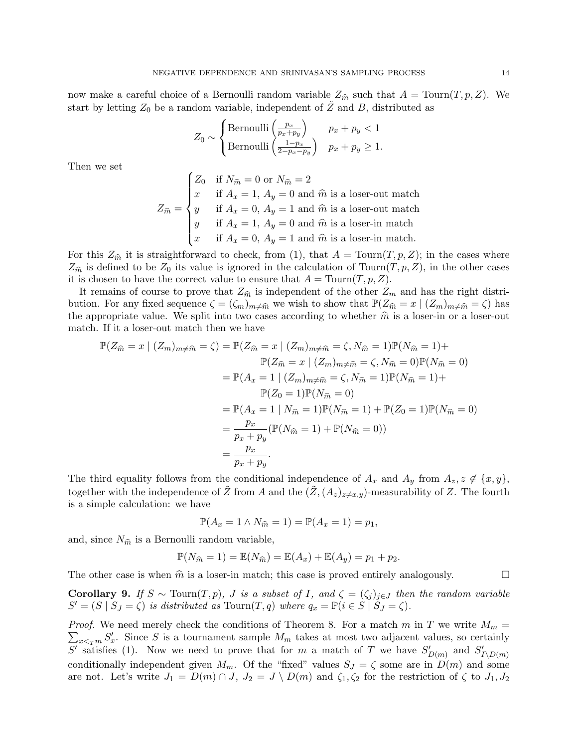now make a careful choice of a Bernoulli random variable  $Z_{\hat{m}}$  such that  $A = \text{Tour}(T, p, Z)$ . We start by letting  $Z_0$  be a random variable, independent of  $Z$  and  $B$ , distributed as

$$
Z_0 \sim \begin{cases} \text{Bernoulli}\left(\frac{p_x}{p_x + p_y}\right) & p_x + p_y < 1\\ \text{Bernoulli}\left(\frac{1 - p_x}{2 - p_x - p_y}\right) & p_x + p_y \ge 1. \end{cases}
$$

Then we set

$$
Z_{\widehat{m}} = \begin{cases} Z_0 & \text{if } N_{\widehat{m}} = 0 \text{ or } N_{\widehat{m}} = 2 \\ x & \text{if } A_x = 1, A_y = 0 \text{ and } \widehat{m} \text{ is a loser-out match} \\ y & \text{if } A_x = 0, A_y = 1 \text{ and } \widehat{m} \text{ is a loser-out match} \\ y & \text{if } A_x = 1, A_y = 0 \text{ and } \widehat{m} \text{ is a loser-in match} \\ x & \text{if } A_x = 0, A_y = 1 \text{ and } \widehat{m} \text{ is a loser-in match.} \end{cases}
$$

For this  $Z_{\hat{m}}$  it is straightforward to check, from (1), that  $A = \text{Tour}(T, p, Z)$ ; in the cases where  $Z_{\hat{m}}$  is defined to be  $Z_{\hat{m}}$  its value is ignored in the calculation of  $\text{Turn}(T, p, Z)$  in the other cases  $Z_{\hat{m}}$  is defined to be  $Z_0$  its value is ignored in the calculation of Tourn $(T, p, Z)$ , in the other cases it is chosen to have the correct value to ensure that  $A = \text{Tourn}(T, p, Z)$ .

It remains of course to prove that  $Z_{\hat{m}}$  is independent of the other  $Z_m$  and has the right distribution. For any fixed sequence  $\zeta = (\zeta_m)_{m \neq \hat{m}}$  we wish to show that  $\mathbb{P}(Z_{\hat{m}} = x | (Z_m)_{m \neq \hat{m}} = \zeta)$  has the appropriate value. We split into two cases according to whether  $\hat{m}$  is a loser-in or a loser-out match. If it a loser-out match then we have

$$
\mathbb{P}(Z_{\hat{m}} = x \mid (Z_m)_{m \neq \hat{m}} = \zeta) = \mathbb{P}(Z_{\hat{m}} = x \mid (Z_m)_{m \neq \hat{m}} = \zeta, N_{\hat{m}} = 1)\mathbb{P}(N_{\hat{m}} = 1) +
$$
  
\n
$$
\mathbb{P}(Z_{\hat{m}} = x \mid (Z_m)_{m \neq \hat{m}} = \zeta, N_{\hat{m}} = 0)\mathbb{P}(N_{\hat{m}} = 0)
$$
  
\n
$$
= \mathbb{P}(A_x = 1 \mid (Z_m)_{m \neq \hat{m}} = \zeta, N_{\hat{m}} = 1)\mathbb{P}(N_{\hat{m}} = 1) +
$$
  
\n
$$
\mathbb{P}(Z_0 = 1)\mathbb{P}(N_{\hat{m}} = 0)
$$
  
\n
$$
= \mathbb{P}(A_x = 1 \mid N_{\hat{m}} = 1)\mathbb{P}(N_{\hat{m}} = 1) + \mathbb{P}(Z_0 = 1)\mathbb{P}(N_{\hat{m}} = 0)
$$
  
\n
$$
= \frac{p_x}{p_x + p_y} (\mathbb{P}(N_{\hat{m}} = 1) + \mathbb{P}(N_{\hat{m}} = 0))
$$
  
\n
$$
= \frac{p_x}{p_x + p_y}.
$$

The third equality follows from the conditional independence of  $A_x$  and  $A_y$  from  $A_z, z \notin \{x, y\}$ , together with the independence of  $\tilde{Z}$  from A and the  $(Z, (A_z)_{z\neq x,y})$ -measurability of Z. The fourth is a simple calculation: we have

$$
\mathbb{P}(A_x = 1 \land N_{\hat{m}} = 1) = \mathbb{P}(A_x = 1) = p_1,
$$

and, since  $N_{\hat{m}}$  is a Bernoulli random variable,

$$
\mathbb{P}(N_{\widehat{m}} = 1) = \mathbb{E}(N_{\widehat{m}}) = \mathbb{E}(A_x) + \mathbb{E}(A_y) = p_1 + p_2.
$$

The other case is when  $\hat{m}$  is a loser-in match; this case is proved entirely analogously.

**Corollary 9.** If  $S \sim \text{Tourn}(T, p)$ , *J* is a subset of *I*, and  $\zeta = (\zeta_i)_{i \in J}$  then the random variable  $S' = (S \mid S_J = \zeta)$  is distributed as  $T_{\text{current}}(T, q)$  where  $q_x = \mathbb{P}(i \in S \mid S_J = \zeta)$ .

*Proof.* We need merely check the conditions of Theorem 8. For a match m in T we write  $M_m =$  $\sum_{x \leq T} S'_x$ . Since S is a tournament sample  $M_m$  takes at most two adjacent values, so certainly S' satisfies (1). Now we need to prove that for m a match of T we have  $S'_{D(m)}$  and  $S'_{I\setminus D(m)}$ conditionally independent given  $M_m$ . Of the "fixed" values  $S_J = \zeta$  some are in  $D(m)$  and some are not. Let's write  $J_1 = D(m) \cap J$ ,  $J_2 = J \setminus D(m)$  and  $\zeta_1, \zeta_2$  for the restriction of  $\zeta$  to  $J_1, J_2$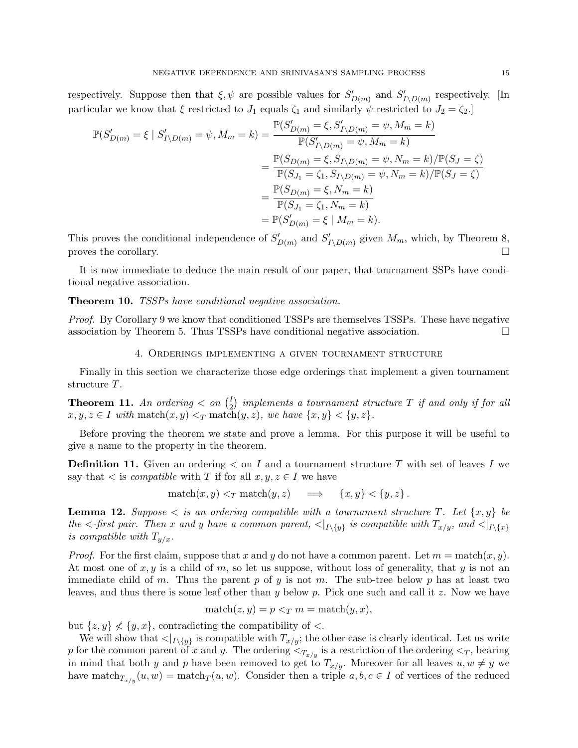respectively. Suppose then that  $\xi, \psi$  are possible values for  $S'_{D(m)}$  and  $S'_{N(D(m))}$  respectively. [In particular we know that  $\xi$  restricted to  $J_1$  equals  $\zeta_1$  and similarly  $\psi$  restricted to  $J_2 = \zeta_2$ .

$$
\mathbb{P}(S'_{D(m)} = \xi \mid S'_{I \setminus D(m)} = \psi, M_m = k) = \frac{\mathbb{P}(S'_{D(m)} = \xi, S'_{I \setminus D(m)} = \psi, M_m = k)}{\mathbb{P}(S'_{I \setminus D(m)} = \psi, M_m = k)} \n= \frac{\mathbb{P}(S_{D(m)} = \xi, S_{I \setminus D(m)} = \psi, N_m = k) / \mathbb{P}(S_J = \zeta)}{\mathbb{P}(S_{J_1} = \zeta_1, S_{I \setminus D(m)} = \psi, N_m = k) / \mathbb{P}(S_J = \zeta)} \n= \frac{\mathbb{P}(S_{D(m)} = \xi, N_m = k)}{\mathbb{P}(S_{J_1} = \zeta_1, N_m = k)} \n= \mathbb{P}(S'_{D(m)} = \xi \mid M_m = k).
$$

This proves the conditional independence of  $S'_{D(m)}$  and  $S'_{I\setminus D(m)}$  given  $M_m$ , which, by Theorem 8, proves the corollary.

It is now immediate to deduce the main result of our paper, that tournament SSPs have conditional negative association.

#### Theorem 10. TSSPs have conditional negative association.

Proof. By Corollary 9 we know that conditioned TSSPs are themselves TSSPs. These have negative association by Theorem 5. Thus TSSPs have conditional negative association.  $\Box$ 

### 4. Orderings implementing a given tournament structure

Finally in this section we characterize those edge orderings that implement a given tournament structure T.

**Theorem 11.** An ordering  $\lt$  on  $\binom{I}{2}$  $\binom{I}{2}$  implements a tournament structure T if and only if for all  $x, y, z \in I$  with match $(x, y) \leq_T \text{match}(y, z)$ , we have  $\{x, y\} \leq \{y, z\}.$ 

Before proving the theorem we state and prove a lemma. For this purpose it will be useful to give a name to the property in the theorem.

**Definition 11.** Given an ordering  $\lt$  on I and a tournament structure T with set of leaves I we say that  $\lt$  is *compatible* with T if for all  $x, y, z \in I$  we have

$$
match(x, y) <_T match(y, z) \implies \{x, y\} < \{y, z\}.
$$

**Lemma 12.** Suppose  $\langle$  is an ordering compatible with a tournament structure T. Let  $\{x, y\}$  be the  $\lt$ -first pair. Then x and y have a common parent,  $\lt|_{I\setminus\{y\}}$  is compatible with  $T_{x/y}$ , and  $\lt|_{I\setminus\{x\}}$ is compatible with  $T_{y/x}$ .

*Proof.* For the first claim, suppose that x and y do not have a common parent. Let  $m = \text{match}(x, y)$ . At most one of  $x, y$  is a child of m, so let us suppose, without loss of generality, that y is not an immediate child of m. Thus the parent p of y is not m. The sub-tree below p has at least two leaves, and thus there is some leaf other than y below p. Pick one such and call it z. Now we have

$$
\mathrm{match}(z, y) = p <_T m = \mathrm{match}(y, x),
$$

but  $\{z, y\} \nless \{y, x\}$ , contradicting the compatibility of  $\langle z \rangle$ .

We will show that  $\langle |I\rangle_{\{y\}}$  is compatible with  $T_{x/y}$ ; the other case is clearly identical. Let us write p for the common parent of x and y. The ordering  $\langle T_{x/y}$  is a restriction of the ordering  $\langle T, \text{ bearing} \rangle$ in mind that both y and p have been removed to get to  $T_{x/y}$ . Moreover for all leaves  $u, w \neq y$  we have match $T_{x/y}(u, w) = \text{match}_T(u, w)$ . Consider then a triple  $a, b, c \in I$  of vertices of the reduced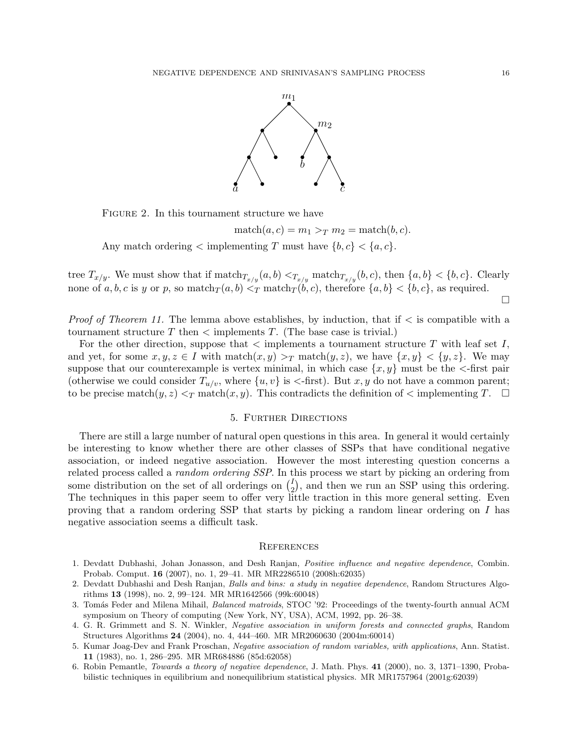

FIGURE 2. In this tournament structure we have

 $\text{match}(a, c) = m_1 >_T m_2 = \text{match}(b, c).$ 

Any match ordering  $\lt$  implementing  $T$  must have  $\{b, c\} \lt \{a, c\}.$ 

tree  $T_{x/y}$ . We must show that if  $\text{match}_{T_{x/y}}(a, b) \leq_{T_{x/y}} \text{match}_{T_{x/y}}(b, c)$ , then  $\{a, b\} < \{b, c\}$ . Clearly none of a, b, c is y or p, so  $\text{match}_T(a, b) <_T \text{match}_T(b, c)$ , therefore  $\{a, b\} < \{b, c\}$ , as required.

 $\Box$ 

*Proof of Theorem 11.* The lemma above establishes, by induction, that if  $\lt$  is compatible with a tournament structure T then  $\lt$  implements T. (The base case is trivial.)

For the other direction, suppose that  $\lt$  implements a tournament structure T with leaf set I, and yet, for some  $x, y, z \in I$  with match $(x, y) >_T$  match $(y, z)$ , we have  $\{x, y\} < \{y, z\}$ . We may suppose that our counterexample is vertex minimal, in which case  $\{x, y\}$  must be the  $\leq$ -first pair (otherwise we could consider  $T_{u/v}$ , where  $\{u, v\}$  is <-first). But x, y do not have a common parent; to be precise match $(y, z) <_T$  match $(x, y)$ . This contradicts the definition of  $\lt$  implementing T.  $\Box$ 

## 5. Further Directions

There are still a large number of natural open questions in this area. In general it would certainly be interesting to know whether there are other classes of SSPs that have conditional negative association, or indeed negative association. However the most interesting question concerns a related process called a random ordering SSP. In this process we start by picking an ordering from some distribution on the set of all orderings on  $\binom{I}{2}$  $\binom{1}{2}$ , and then we run an SSP using this ordering. The techniques in this paper seem to offer very little traction in this more general setting. Even proving that a random ordering SSP that starts by picking a random linear ordering on I has negative association seems a difficult task.

#### **REFERENCES**

- 1. Devdatt Dubhashi, Johan Jonasson, and Desh Ranjan, Positive influence and negative dependence, Combin. Probab. Comput. 16 (2007), no. 1, 29–41. MR MR2286510 (2008h:62035)
- 2. Devdatt Dubhashi and Desh Ranjan, Balls and bins: a study in negative dependence, Random Structures Algorithms 13 (1998), no. 2, 99–124. MR MR1642566 (99k:60048)
- 3. Tomás Feder and Milena Mihail, *Balanced matroids*, STOC '92: Proceedings of the twenty-fourth annual ACM symposium on Theory of computing (New York, NY, USA), ACM, 1992, pp. 26–38.
- 4. G. R. Grimmett and S. N. Winkler, Negative association in uniform forests and connected graphs, Random Structures Algorithms 24 (2004), no. 4, 444–460. MR MR2060630 (2004m:60014)
- 5. Kumar Joag-Dev and Frank Proschan, Negative association of random variables, with applications, Ann. Statist. 11 (1983), no. 1, 286–295. MR MR684886 (85d:62058)
- 6. Robin Pemantle, Towards a theory of negative dependence, J. Math. Phys. 41 (2000), no. 3, 1371–1390, Probabilistic techniques in equilibrium and nonequilibrium statistical physics. MR MR1757964 (2001g:62039)